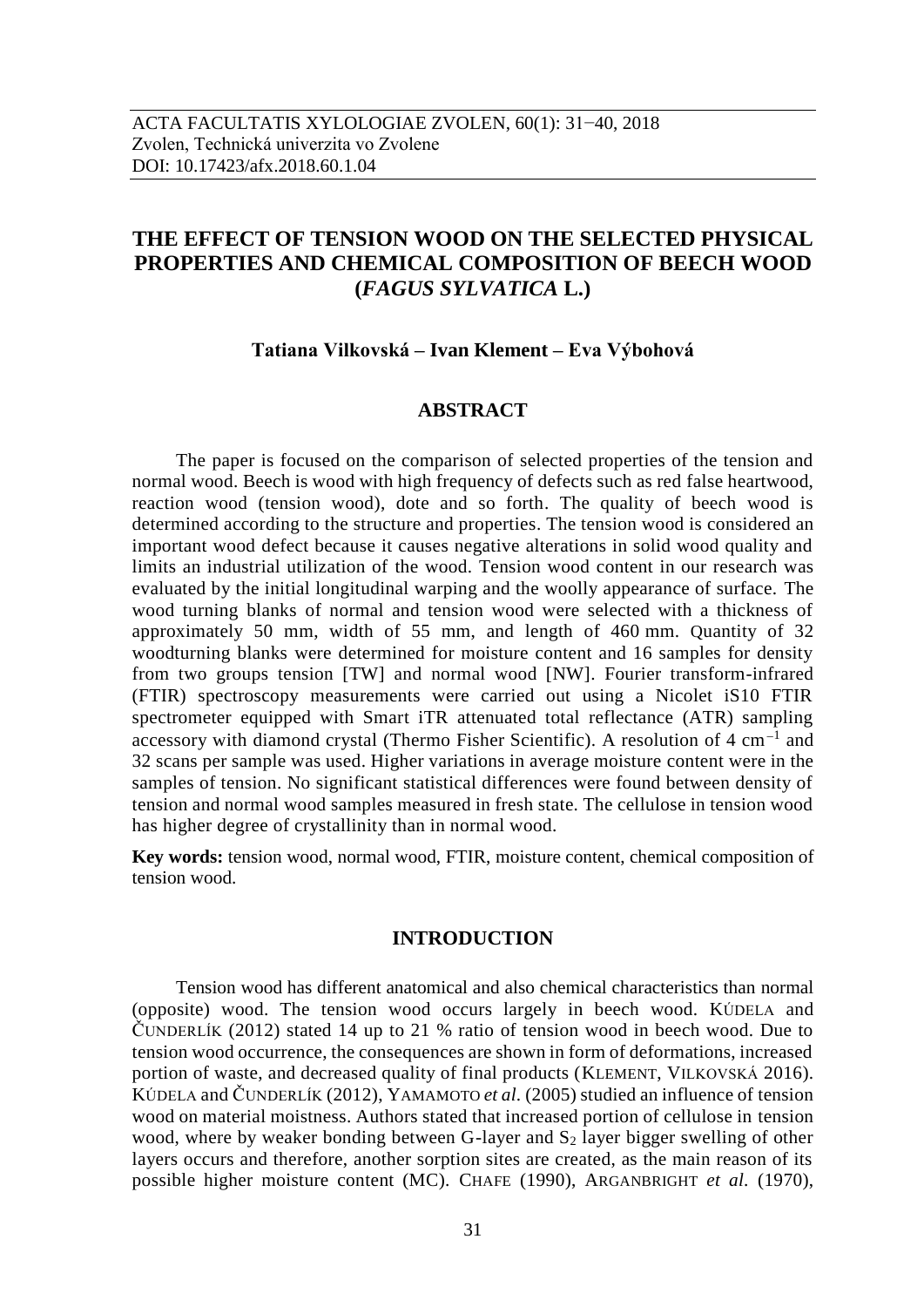# **THE EFFECT OF TENSION WOOD ON THE SELECTED PHYSICAL PROPERTIES AND CHEMICAL COMPOSITION OF BEECH WOOD (***FAGUS SYLVATICA* **L.)**

### **Tatiana Vilkovská – Ivan Klement – Eva Výbohová**

### **ABSTRACT**

The paper is focused on the comparison of selected properties of the tension and normal wood. Beech is wood with high frequency of defects such as red false heartwood, reaction wood (tension wood), dote and so forth. The quality of beech wood is determined according to the structure and properties. The tension wood is considered an important wood defect because it causes negative alterations in solid wood quality and limits an industrial utilization of the wood. Tension wood content in our research was evaluated by the initial longitudinal warping and the woolly appearance of surface. The wood turning blanks of normal and tension wood were selected with a thickness of approximately 50 mm, width of 55 mm, and length of 460 mm. Quantity of 32 woodturning blanks were determined for moisture content and 16 samples for density from two groups tension [TW] and normal wood [NW]. Fourier transform-infrared (FTIR) spectroscopy measurements were carried out using a Nicolet iS10 FTIR spectrometer equipped with Smart iTR attenuated total reflectance (ATR) sampling accessory with diamond crystal (Thermo Fisher Scientific). A resolution of  $4 \text{ cm}^{-1}$  and 32 scans per sample was used. Higher variations in average moisture content were in the samples of tension. No significant statistical differences were found between density of tension and normal wood samples measured in fresh state. The cellulose in tension wood has higher degree of crystallinity than in normal wood.

**Key words:** tension wood, normal wood, FTIR, moisture content, chemical composition of tension wood.

### **INTRODUCTION**

Tension wood has different anatomical and also chemical characteristics than normal (opposite) wood. The tension wood occurs largely in beech wood. KÚDELA and ČUNDERLÍK (2012) stated 14 up to 21 % ratio of tension wood in beech wood. Due to tension wood occurrence, the consequences are shown in form of deformations, increased portion of waste, and decreased quality of final products (KLEMENT, VILKOVSKÁ 2016). KÚDELA and ČUNDERLÍK (2012), YAMAMOTO *et al.* (2005) studied an influence of tension wood on material moistness. Authors stated that increased portion of cellulose in tension wood, where by weaker bonding between G-layer and  $S_2$  layer bigger swelling of other layers occurs and therefore, another sorption sites are created, as the main reason of its possible higher moisture content (MC). CHAFE (1990), ARGANBRIGHT *et al.* (1970),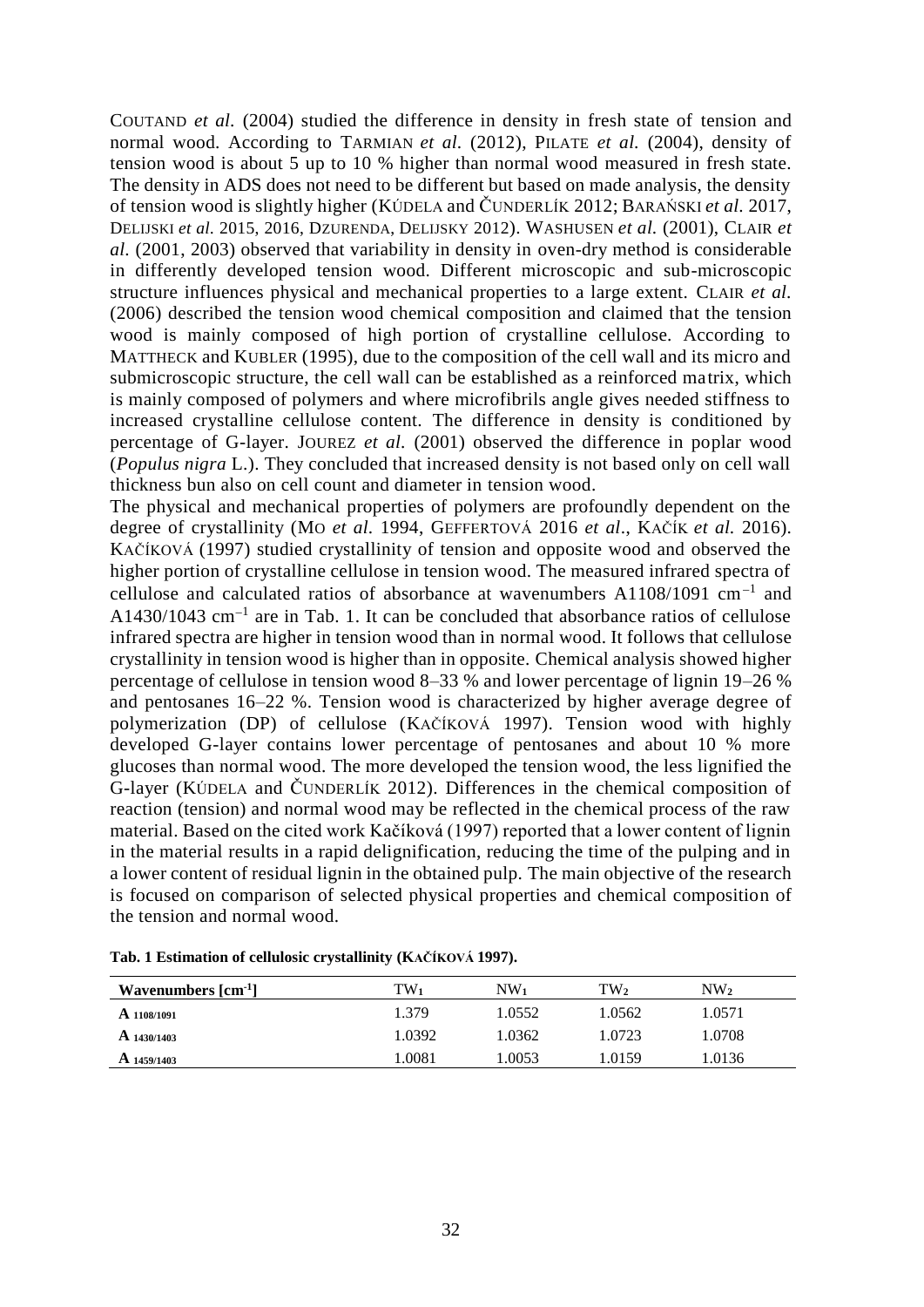COUTAND *et al.* (2004) studied the difference in density in fresh state of tension and normal wood. According to TARMIAN *et al.* (2012), PILATE *et al.* (2004), density of tension wood is about 5 up to 10 % higher than normal wood measured in fresh state. The density in ADS does not need to be different but based on made analysis, the density of tension wood is slightly higher (KÚDELA and ČUNDERLÍK 2012; BARAŃSKI *et al.* 2017, DELIJSKI *et al.* 2015, 2016, DZURENDA, DELIJSKY 2012). WASHUSEN *et al.* (2001), CLAIR *et al.* (2001, 2003) observed that variability in density in oven-dry method is considerable in differently developed tension wood. Different microscopic and sub-microscopic structure influences physical and mechanical properties to a large extent. CLAIR *et al.* (2006) described the tension wood chemical composition and claimed that the tension wood is mainly composed of high portion of crystalline cellulose. According to MATTHECK and KUBLER (1995), due to the composition of the cell wall and its micro and submicroscopic structure, the cell wall can be established as a reinforced matrix, which is mainly composed of polymers and where microfibrils angle gives needed stiffness to increased crystalline cellulose content. The difference in density is conditioned by percentage of G-layer. JOUREZ *et al.* (2001) observed the difference in poplar wood (*Populus nigra* L.). They concluded that increased density is not based only on cell wall thickness bun also on cell count and diameter in tension wood.

The physical and mechanical properties of polymers are profoundly dependent on the degree of crystallinity (MO *et al.* 1994, GEFFERTOVÁ 2016 *et al*., KAČÍK *et al.* 2016). KAČÍKOVÁ (1997) studied crystallinity of tension and opposite wood and observed the higher portion of crystalline cellulose in tension wood. The measured infrared spectra of cellulose and calculated ratios of absorbance at wavenumbers  $A1108/1091$  cm<sup>-1</sup> and  $A1430/1043$  cm<sup>-1</sup> are in Tab. 1. It can be concluded that absorbance ratios of cellulose infrared spectra are higher in tension wood than in normal wood. It follows that cellulose crystallinity in tension wood is higher than in opposite. Chemical analysis showed higher percentage of cellulose in tension wood 8–33 % and lower percentage of lignin 19–26 % and pentosanes 16–22 %. Tension wood is characterized by higher average degree of polymerization (DP) of cellulose (KAČÍKOVÁ 1997). Tension wood with highly developed G-layer contains lower percentage of pentosanes and about 10 % more glucoses than normal wood. The more developed the tension wood, the less lignified the G-layer (KÚDELA and ČUNDERLÍK 2012). Differences in the chemical composition of reaction (tension) and normal wood may be reflected in the chemical process of the raw material. Based on the cited work Kačíková (1997) reported that a lower content of lignin in the material results in a rapid delignification, reducing the time of the pulping and in a lower content of residual lignin in the obtained pulp. The main objective of the research is focused on comparison of selected physical properties and chemical composition of the tension and normal wood.

| Wavenumbers $\lbrack cm^{-1}]$ | $TW_1$ | NW1    | TW2    | NW2    |
|--------------------------------|--------|--------|--------|--------|
| A 1108/1091                    | 1.379  | 1.0552 | 1.0562 | 1.0571 |
| $A$ 1430/1403                  | 1.0392 | 1.0362 | 1.0723 | 1.0708 |
| A 1459/1403                    | .0081  | .0053  | 1.0159 | 1.0136 |

**Tab. 1 Estimation of cellulosic crystallinity (KAČÍKOVÁ 1997).**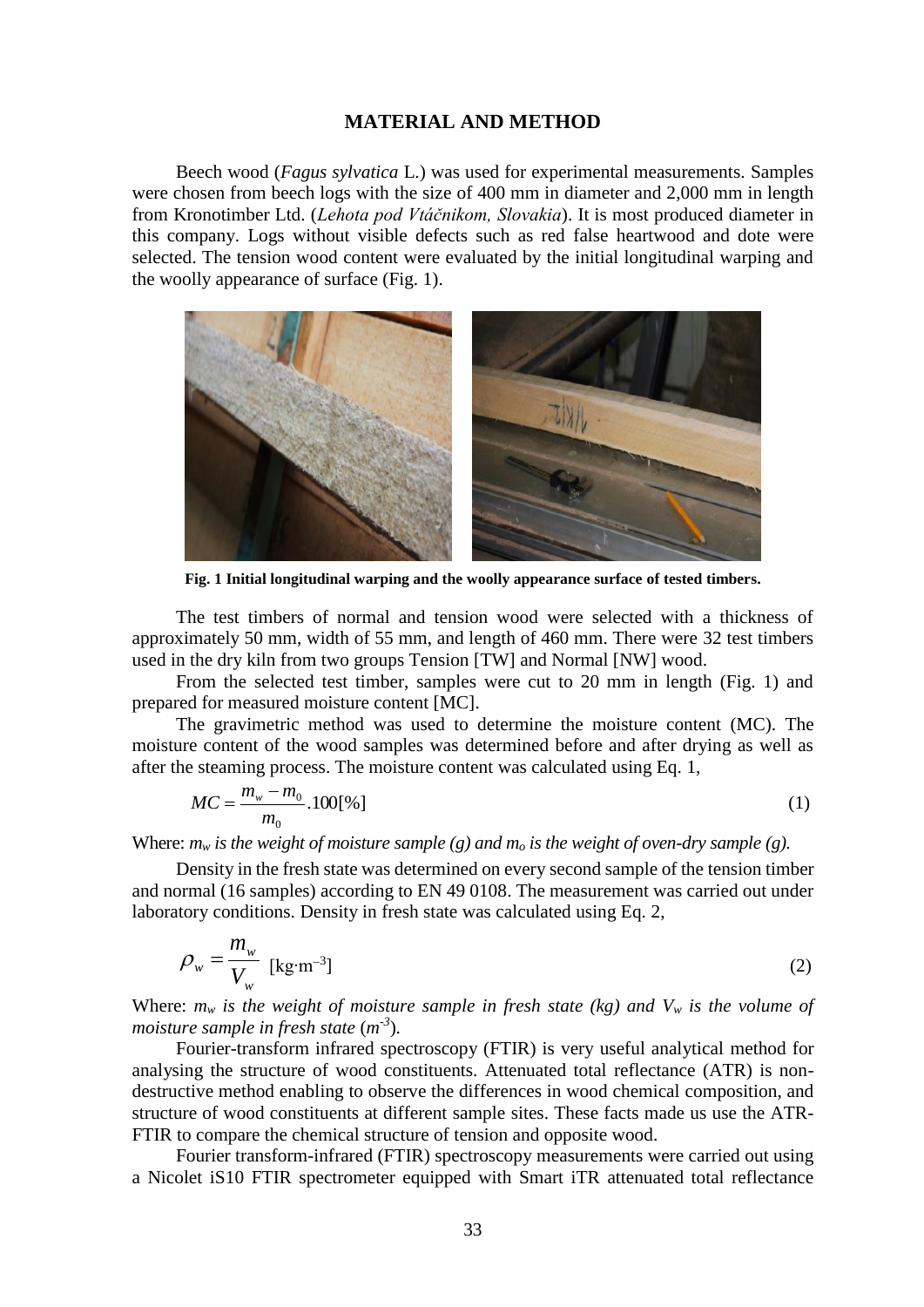# **MATERIAL AND METHOD**

Beech wood (*Fagus sylvatica* L.) was used for experimental measurements. Samples were chosen from beech logs with the size of 400 mm in diameter and 2,000 mm in length from Kronotimber Ltd. (*Lehota pod Vtáčnikom, Slovakia*). It is most produced diameter in this company. Logs without visible defects such as red false heartwood and dote were selected. The tension wood content were evaluated by the initial longitudinal warping and the woolly appearance of surface (Fig. 1).



**Fig. 1 Initial longitudinal warping and the woolly appearance surface of tested timbers.**

The test timbers of normal and tension wood were selected with a thickness of approximately 50 mm, width of 55 mm, and length of 460 mm. There were 32 test timbers used in the dry kiln from two groups Tension [TW] and Normal [NW] wood.

From the selected test timber, samples were cut to 20 mm in length (Fig. 1) and prepared for measured moisture content [MC].

The gravimetric method was used to determine the moisture content (MC). The moisture content of the wood samples was determined before and after drying as well as after the steaming process. The moisture content was calculated using Eq. 1,

$$
MC = \frac{m_w - m_0}{m_0} .100[%]
$$
 (1)

Where:  $m_w$  *is the weight of moisture sample* (*g*) and  $m_o$  *is the weight of oven-dry sample* (*g*).

Density in the fresh state was determined on every second sample of the tension timber and normal (16 samples) according to EN 49 0108. The measurement was carried out under laboratory conditions. Density in fresh state was calculated using Eq. 2,

$$
\rho_w = \frac{m_w}{V_w} \text{ [kg} \cdot \text{m}^{-3} \text{]} \tag{2}
$$

Where:  $m_w$  *is the weight of moisture sample in fresh state (kg) and*  $V_w$  *is the volume of moisture sample in fresh state* (*m*<sup>-3</sup>).

Fourier-transform infrared spectroscopy (FTIR) is very useful analytical method for analysing the structure of wood constituents. Attenuated total reflectance (ATR) is nondestructive method enabling to observe the differences in wood chemical composition, and structure of wood constituents at different sample sites. These facts made us use the ATR-FTIR to compare the chemical structure of tension and opposite wood.

Fourier transform-infrared (FTIR) spectroscopy measurements were carried out using a Nicolet iS10 FTIR spectrometer equipped with Smart iTR attenuated total reflectance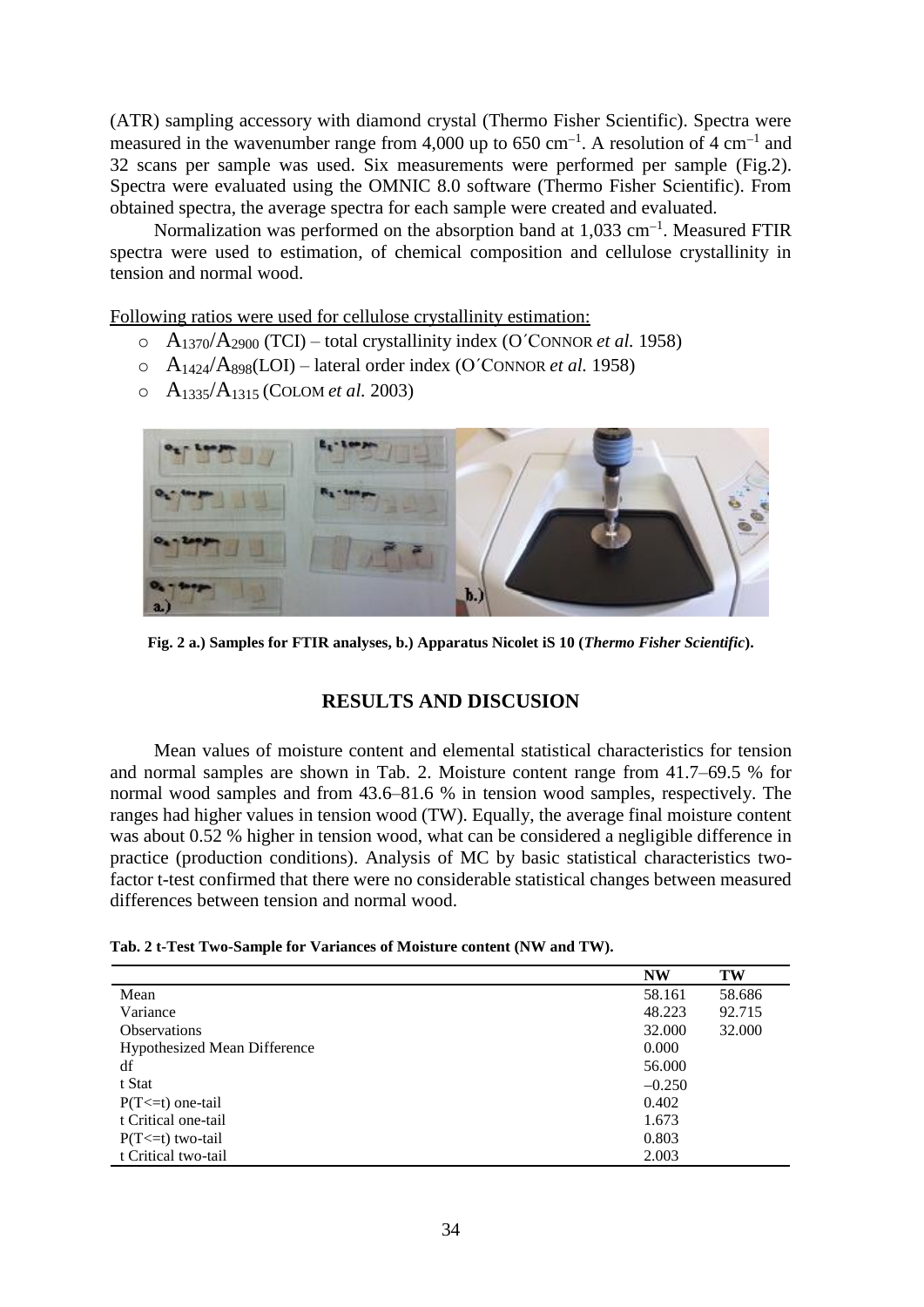(ATR) sampling accessory with diamond crystal (Thermo Fisher Scientific). Spectra were measured in the wavenumber range from 4,000 up to 650 cm<sup>-1</sup>. A resolution of 4 cm<sup>-1</sup> and 32 scans per sample was used. Six measurements were performed per sample (Fig.2). Spectra were evaluated using the OMNIC 8.0 software (Thermo Fisher Scientific). From obtained spectra, the average spectra for each sample were created and evaluated.

Normalization was performed on the absorption band at  $1,033$  cm<sup>-1</sup>. Measured FTIR spectra were used to estimation, of chemical composition and cellulose crystallinity in tension and normal wood.

Following ratios were used for cellulose crystallinity estimation:

- $\Delta_{1370}/A_{2900}$  (TCI) total crystallinity index (O'CONNOR *et al.* 1958)
- o A1424/A898(LOI) lateral order index (O´CONNOR *et al.* 1958)
- o A1335/A1315 (COLOM *et al.* 2003)



**Fig. 2 a.) Samples for FTIR analyses, b.) Apparatus Nicolet iS 10 (***Thermo Fisher Scientific***).**

# **RESULTS AND DISCUSION**

Mean values of moisture content and elemental statistical characteristics for tension and normal samples are shown in Tab. 2. Moisture content range from 41.7–69.5 % for normal wood samples and from 43.6–81.6 % in tension wood samples, respectively. The ranges had higher values in tension wood (TW). Equally, the average final moisture content was about 0.52 % higher in tension wood, what can be considered a negligible difference in practice (production conditions). Analysis of MC by basic statistical characteristics twofactor t-test confirmed that there were no considerable statistical changes between measured differences between tension and normal wood.

|  |  | Tab. 2 t-Test Two-Sample for Variances of Moisture content (NW and TW). |  |  |  |  |
|--|--|-------------------------------------------------------------------------|--|--|--|--|
|--|--|-------------------------------------------------------------------------|--|--|--|--|

|                                     | <b>NW</b> | TW     |
|-------------------------------------|-----------|--------|
| Mean                                | 58.161    | 58.686 |
| Variance                            | 48.223    | 92.715 |
| <b>Observations</b>                 | 32.000    | 32.000 |
| <b>Hypothesized Mean Difference</b> | 0.000     |        |
| df                                  | 56.000    |        |
| t Stat                              | $-0.250$  |        |
| $P(T \le t)$ one-tail               | 0.402     |        |
| t Critical one-tail                 | 1.673     |        |
| $P(T \le t)$ two-tail               | 0.803     |        |
| t Critical two-tail                 | 2.003     |        |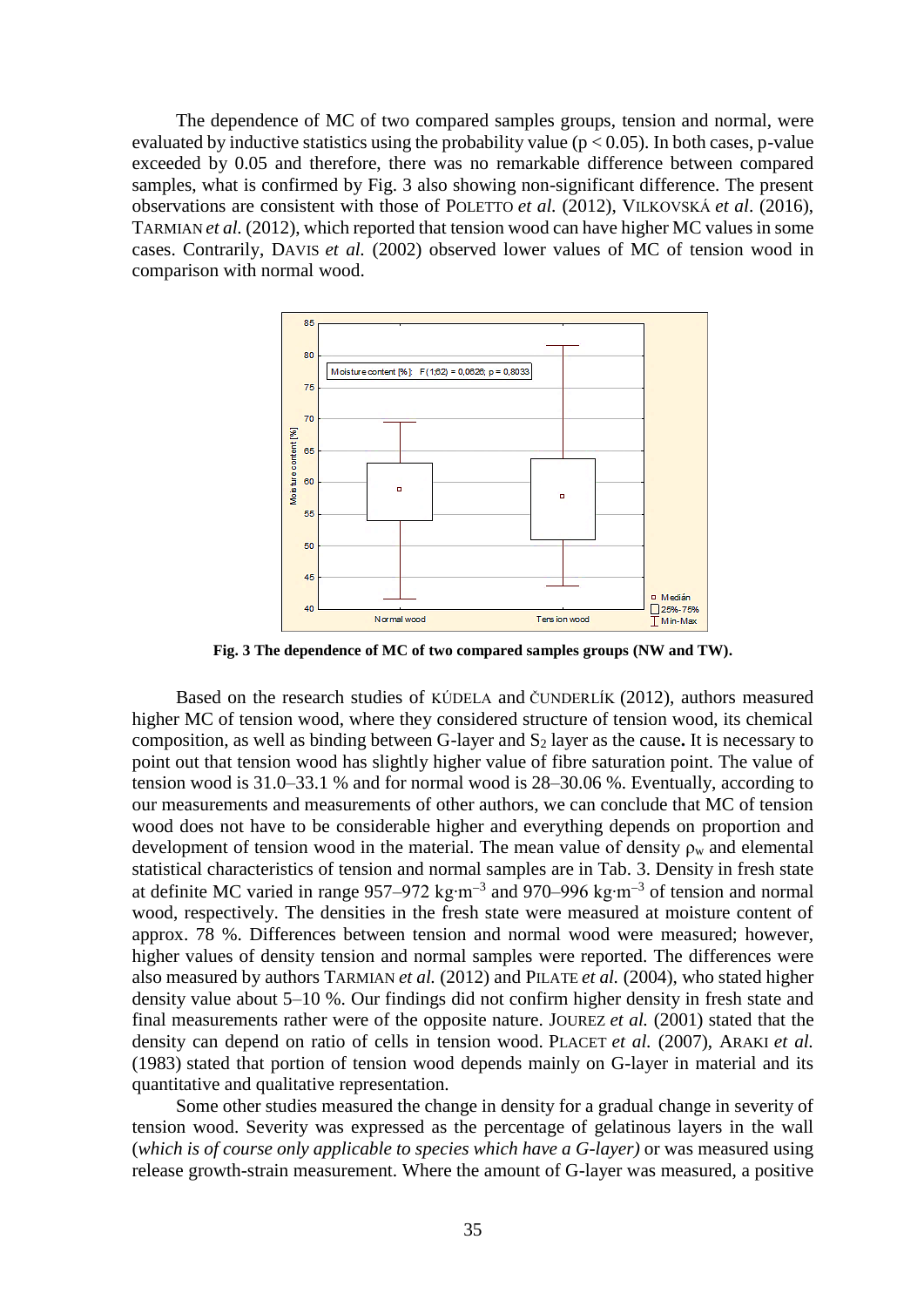The dependence of MC of two compared samples groups, tension and normal, were evaluated by inductive statistics using the probability value ( $p < 0.05$ ). In both cases, p-value exceeded by 0.05 and therefore, there was no remarkable difference between compared samples, what is confirmed by Fig. 3 also showing non-significant difference. The present observations are consistent with those of POLETTO *et al.* (2012), VILKOVSKÁ *et al*. (2016), TARMIAN *et al.* (2012), which reported that tension wood can have higher MC values in some cases. Contrarily, DAVIS *et al.* (2002) observed lower values of MC of tension wood in comparison with normal wood.



**Fig. 3 The dependence of MC of two compared samples groups (NW and TW).**

Based on the research studies of KÚDELA and ČUNDERLÍK (2012), authors measured higher MC of tension wood, where they considered structure of tension wood, its chemical composition, as well as binding between G-layer and S<sup>2</sup> layer as the cause**.** It is necessary to point out that tension wood has slightly higher value of fibre saturation point. The value of tension wood is 31.0–33.1 % and for normal wood is 28–30.06 %. Eventually, according to our measurements and measurements of other authors, we can conclude that MC of tension wood does not have to be considerable higher and everything depends on proportion and development of tension wood in the material. The mean value of density  $\rho_w$  and elemental statistical characteristics of tension and normal samples are in Tab. 3. Density in fresh state at definite MC varied in range 957–972 kg⋅m<sup>-3</sup> and 970–996 kg⋅m<sup>-3</sup> of tension and normal wood, respectively. The densities in the fresh state were measured at moisture content of approx. 78 %. Differences between tension and normal wood were measured; however, higher values of density tension and normal samples were reported. The differences were also measured by authors TARMIAN *et al.* (2012) and PILATE *et al.* (2004), who stated higher density value about 5–10 %. Our findings did not confirm higher density in fresh state and final measurements rather were of the opposite nature. JOUREZ *et al.* (2001) stated that the density can depend on ratio of cells in tension wood. PLACET *et al.* (2007), ARAKI *et al.*  (1983) stated that portion of tension wood depends mainly on G-layer in material and its quantitative and qualitative representation.

Some other studies measured the change in density for a gradual change in severity of tension wood. Severity was expressed as the percentage of gelatinous layers in the wall (*which is of course only applicable to species which have a G-layer)* or was measured using release growth-strain measurement. Where the amount of G-layer was measured, a positive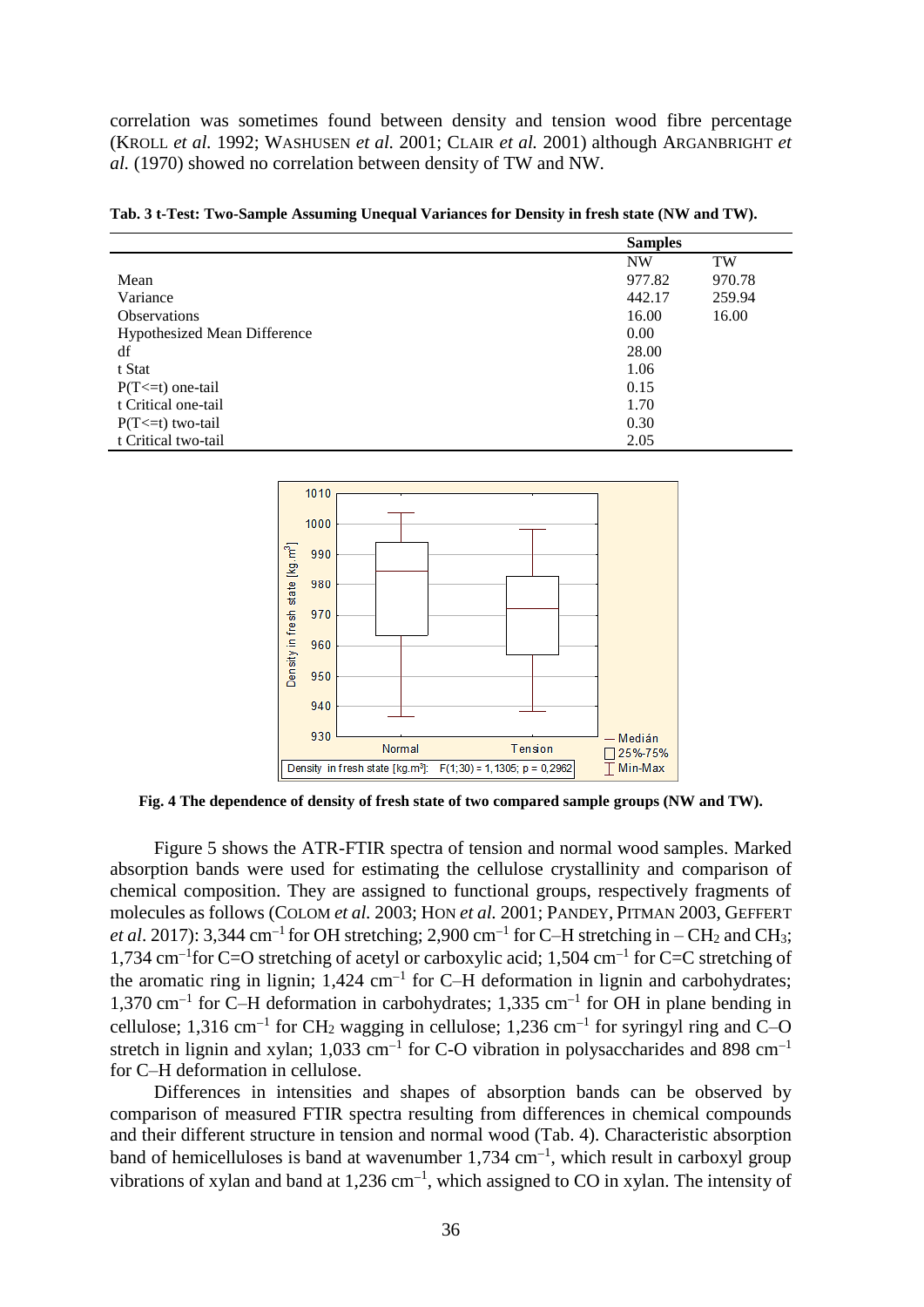correlation was sometimes found between density and tension wood fibre percentage (KROLL *et al.* 1992; WASHUSEN *et al.* 2001; CLAIR *et al.* 2001) although ARGANBRIGHT *et al.* (1970) showed no correlation between density of TW and NW.

|                                     | <b>Samples</b> |           |
|-------------------------------------|----------------|-----------|
|                                     | <b>NW</b>      | <b>TW</b> |
| Mean                                | 977.82         | 970.78    |
| Variance                            | 442.17         | 259.94    |
| <b>Observations</b>                 | 16.00          | 16.00     |
| <b>Hypothesized Mean Difference</b> | 0.00           |           |
| df                                  | 28.00          |           |
| t Stat                              | 1.06           |           |
| $P(T \le t)$ one-tail               | 0.15           |           |
| t Critical one-tail                 | 1.70           |           |
| $P(T \le t)$ two-tail               | 0.30           |           |
| t Critical two-tail                 | 2.05           |           |

**Tab. 3 t-Test: Two-Sample Assuming Unequal Variances for Density in fresh state (NW and TW).**



**Fig. 4 The dependence of density of fresh state of two compared sample groups (NW and TW).**

Figure 5 shows the ATR-FTIR spectra of tension and normal wood samples. Marked absorption bands were used for estimating the cellulose crystallinity and comparison of chemical composition. They are assigned to functional groups, respectively fragments of molecules as follows (COLOM *et al.* 2003; HON *et al.* 2001; PANDEY, PITMAN 2003, GEFFERT *et al.* 2017): 3,344 cm<sup>-1</sup> for OH stretching; 2,900 cm<sup>-1</sup> for C-H stretching in – CH<sub>2</sub> and CH<sub>3</sub>; 1,734 cm<sup>-1</sup> for C=O stretching of acetyl or carboxylic acid; 1,504 cm<sup>-1</sup> for C=C stretching of the aromatic ring in lignin;  $1,424 \text{ cm}^{-1}$  for C-H deformation in lignin and carbohydrates;  $1,370 \text{ cm}^{-1}$  for C-H deformation in carbohydrates; 1,335 cm<sup>-1</sup> for OH in plane bending in cellulose; 1,316 cm<sup>-1</sup> for CH<sub>2</sub> wagging in cellulose; 1,236 cm<sup>-1</sup> for syringyl ring and C-O stretch in lignin and xylan; 1,033 cm<sup>-1</sup> for C-O vibration in polysaccharides and 898 cm<sup>-1</sup> for C–H deformation in cellulose.

Differences in intensities and shapes of absorption bands can be observed by comparison of measured FTIR spectra resulting from differences in chemical compounds and their different structure in tension and normal wood (Tab. 4). Characteristic absorption band of hemicelluloses is band at wavenumber  $1,734 \text{ cm}^{-1}$ , which result in carboxyl group vibrations of xylan and band at  $1,236$  cm<sup>-1</sup>, which assigned to CO in xylan. The intensity of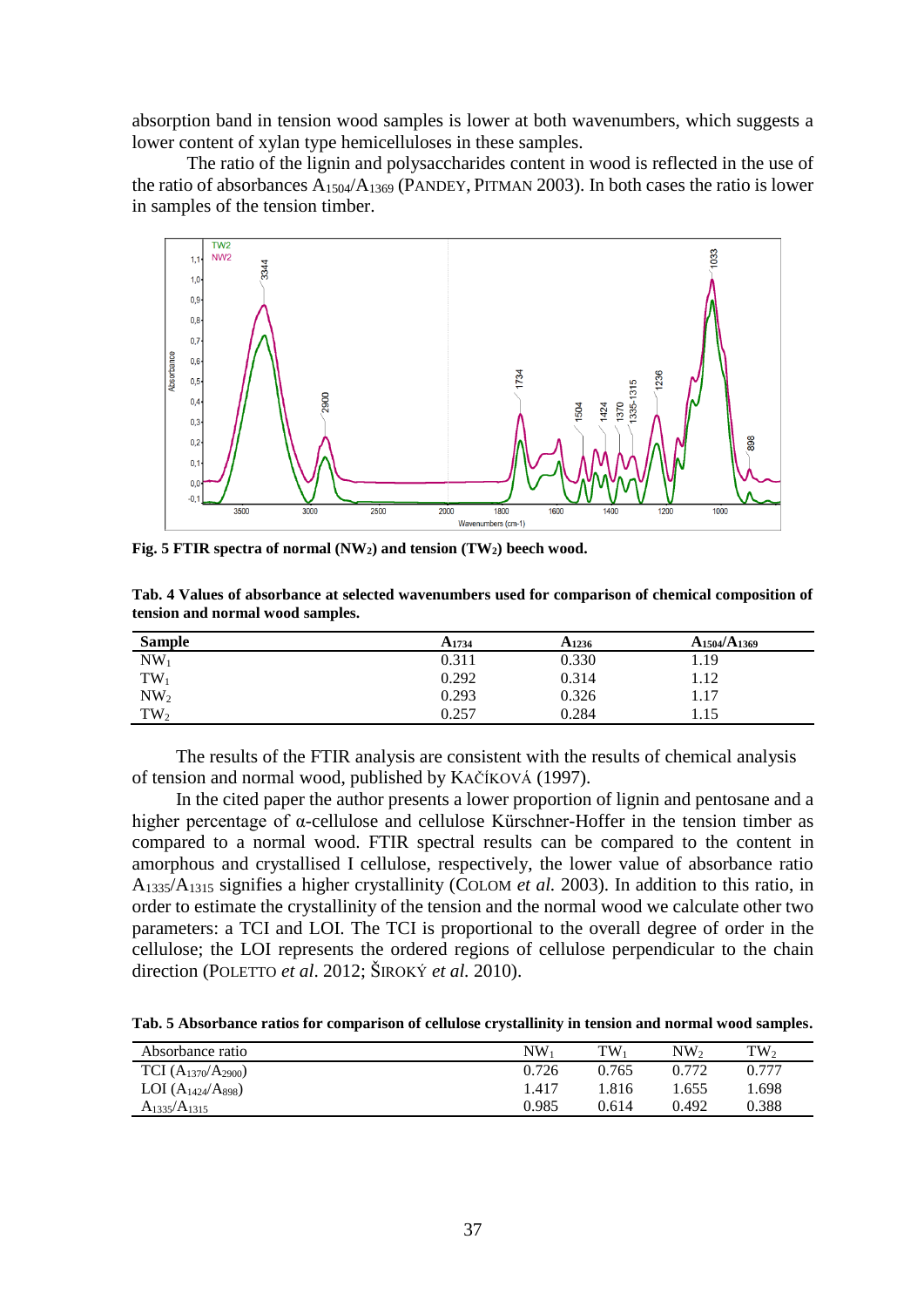absorption band in tension wood samples is lower at both wavenumbers, which suggests a lower content of xylan type hemicelluloses in these samples.

The ratio of the lignin and polysaccharides content in wood is reflected in the use of the ratio of absorbances A1504/A<sup>1369</sup> (PANDEY, PITMAN 2003). In both cases the ratio is lower in samples of the tension timber.



**Fig. 5 FTIR spectra of normal (NW2) and tension (TW2) beech wood.**

**Tab. 4 Values of absorbance at selected wavenumbers used for comparison of chemical composition of tension and normal wood samples.**

| <b>Sample</b>   | A <sub>1734</sub> | A <sub>1236</sub> | $A_{1504}/A_{1369}$ |
|-----------------|-------------------|-------------------|---------------------|
| NW <sub>1</sub> | 0.311             | 0.330             | 1.19                |
| $TW_1$          | 0.292             | 0.314             | 1.12                |
| NW <sub>2</sub> | 0.293             | 0.326             | 1.17                |
| $TW_2$          | 0.257             | 0.284             | 1.15                |

The results of the FTIR analysis are consistent with the results of chemical analysis of tension and normal wood, published by KAČÍKOVÁ (1997).

In the cited paper the author presents a lower proportion of lignin and pentosane and a higher percentage of α-cellulose and cellulose Kürschner-Hoffer in the tension timber as compared to a normal wood. FTIR spectral results can be compared to the content in amorphous and crystallised I cellulose, respectively, the lower value of absorbance ratio A1335/A<sup>1315</sup> signifies a higher crystallinity (COLOM *et al.* 2003). In addition to this ratio, in order to estimate the crystallinity of the tension and the normal wood we calculate other two parameters: a TCI and LOI. The TCI is proportional to the overall degree of order in the cellulose; the LOI represents the ordered regions of cellulose perpendicular to the chain direction (POLETTO *et al*. 2012; ŠIROKÝ *et al.* 2010).

**Tab. 5 Absorbance ratios for comparison of cellulose crystallinity in tension and normal wood samples.**

| Absorbance ratio          | $NW_1$ | $TW_1$ | NW2   | $TW_2$ |
|---------------------------|--------|--------|-------|--------|
| TCI $(A_{1370}/A_{2900})$ | 0.726  | 0.765  | 0.772 | 0.777  |
| LOI $(A_{1424}/A_{898})$  | 1.417  | 1.816  | 1.655 | 1.698  |
| $A_{1335}/A_{1315}$       | 0.985  | 0.614  | 0.492 | 0.388  |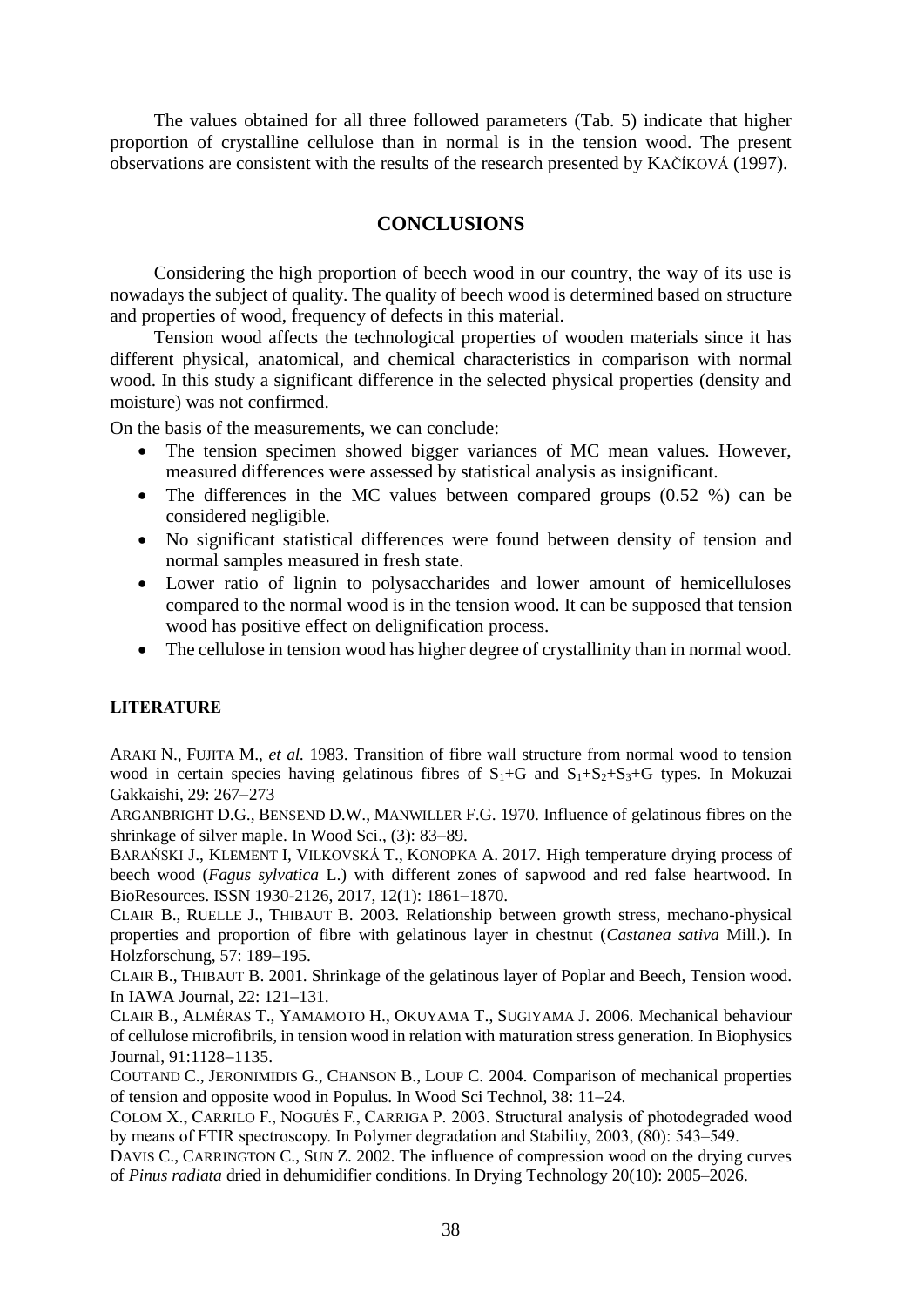The values obtained for all three followed parameters (Tab. 5) indicate that higher proportion of crystalline cellulose than in normal is in the tension wood. The present observations are consistent with the results of the research presented by KAČÍKOVÁ (1997).

# **CONCLUSIONS**

Considering the high proportion of beech wood in our country, the way of its use is nowadays the subject of quality. The quality of beech wood is determined based on structure and properties of wood, frequency of defects in this material.

Tension wood affects the technological properties of wooden materials since it has different physical, anatomical, and chemical characteristics in comparison with normal wood. In this study a significant difference in the selected physical properties (density and moisture) was not confirmed.

On the basis of the measurements, we can conclude:

- The tension specimen showed bigger variances of MC mean values. However, measured differences were assessed by statistical analysis as insignificant.
- The differences in the MC values between compared groups (0.52 %) can be considered negligible.
- No significant statistical differences were found between density of tension and normal samples measured in fresh state.
- Lower ratio of lignin to polysaccharides and lower amount of hemicelluloses compared to the normal wood is in the tension wood. It can be supposed that tension wood has positive effect on delignification process.
- The cellulose in tension wood has higher degree of crystallinity than in normal wood.

### **LITERATURE**

ARAKI N., FUJITA M., *et al.* 1983. Transition of fibre wall structure from normal wood to tension wood in certain species having gelatinous fibres of  $S_1+G$  and  $S_1+S_2+S_3+G$  types. In Mokuzai Gakkaishi, 29: 267-273

ARGANBRIGHT D.G., BENSEND D.W., MANWILLER F.G. 1970. Influence of gelatinous fibres on the shrinkage of silver maple. In Wood Sci.,  $(3)$ : 83–89.

BARAŃSKI J., KLEMENT I, VILKOVSKÁ T., KONOPKA A. 2017*.* High temperature drying process of beech wood (*Fagus sylvatica* L.) with different zones of sapwood and red false heartwood. In BioResources. ISSN 1930-2126, 2017, 12(1): 1861–1870.

CLAIR B., RUELLE J., THIBAUT B. 2003. Relationship between growth stress, mechano-physical properties and proportion of fibre with gelatinous layer in chestnut (*Castanea sativa* Mill.). In Holzforschung, 57: 189-195.

CLAIR B., THIBAUT B. 2001. Shrinkage of the gelatinous layer of Poplar and Beech, Tension wood. In IAWA Journal,  $22: 121-131$ .

CLAIR B., ALMÉRAS T., YAMAMOTO H., OKUYAMA T., SUGIYAMA J. 2006. Mechanical behaviour of cellulose microfibrils, in tension wood in relation with maturation stress generation. In Biophysics Journal, 91:1128-1135.

COUTAND C., JERONIMIDIS G., CHANSON B., LOUP C. 2004. Comparison of mechanical properties of tension and opposite wood in Populus. In Wood Sci Technol, 38: 11–24.

COLOM X., CARRILO F., NOGUÉS F., CARRIGA P. 2003. Structural analysis of photodegraded wood by means of FTIR spectroscopy. In Polymer degradation and Stability, 2003, (80): 543–549.

DAVIS C., CARRINGTON C., SUN Z. 2002. The influence of compression wood on the drying curves of *Pinus radiata* dried in dehumidifier conditions. In Drying Technology 20(10): 2005–2026.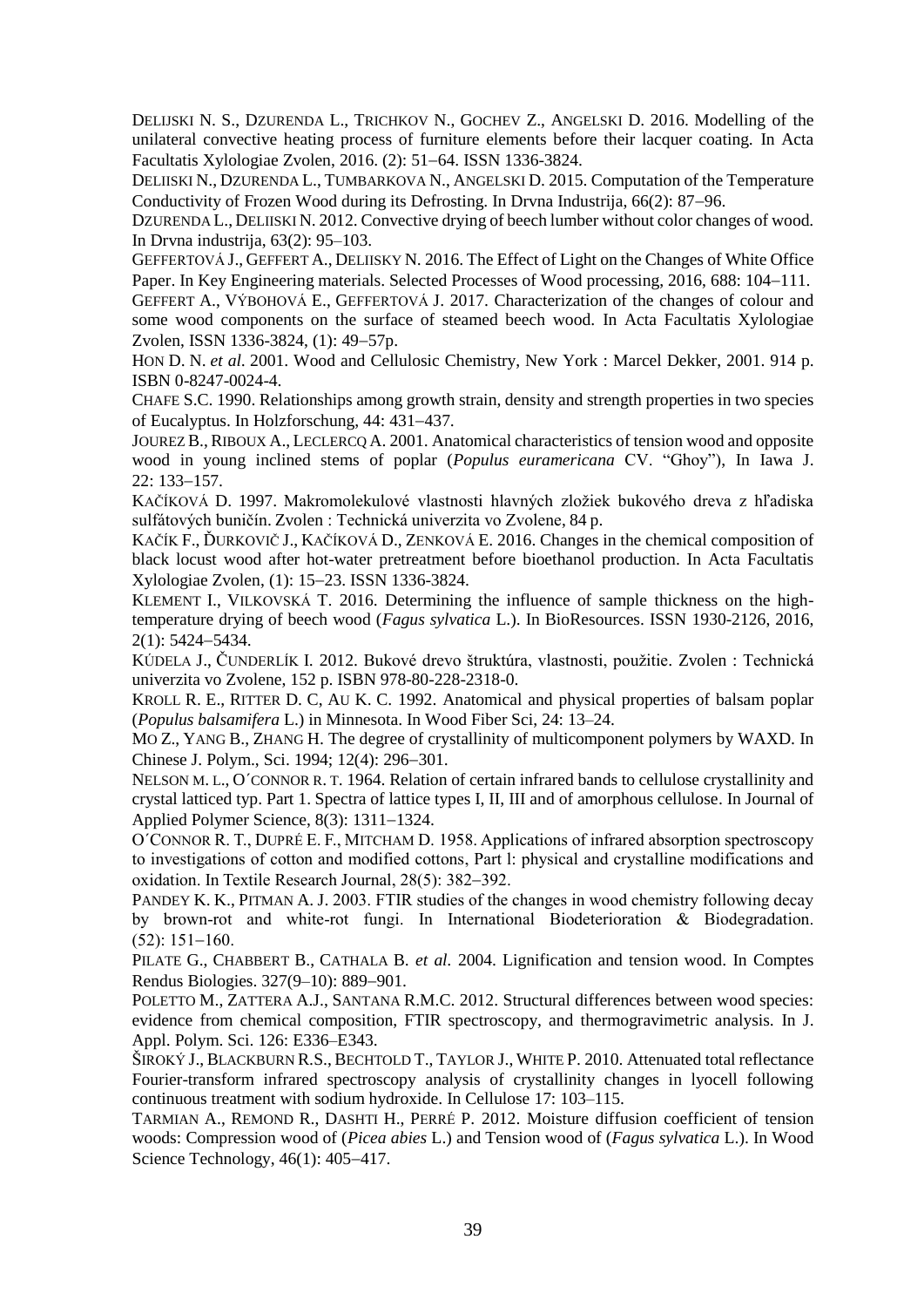DELIJSKI N. S., DZURENDA L., TRICHKOV N., GOCHEV Z., ANGELSKI D. 2016. Modelling of the unilateral convective heating process of furniture elements before their lacquer coating. In Acta Facultatis Xylologiae Zvolen, 2016. (2): 51–64. ISSN 1336-3824.

DELIISKI N., DZURENDA L., TUMBARKOVA N., ANGELSKI D. 2015. Computation of the Temperature Conductivity of Frozen Wood during its Defrosting. In Drvna Industrija,  $66(2)$ : 87–96.

DZURENDA L., DELIISKI N. 2012. Convective drying of beech lumber without color changes of wood. In Drvna industrija, 63(2): 95–103.

GEFFERTOVÁ J., GEFFERT A., DELIISKY N. 2016. The Effect of Light on the Changes of White Office Paper. In Key Engineering materials. Selected Processes of Wood processing, 2016, 688: 104–111.

GEFFERT A., VÝBOHOVÁ E., GEFFERTOVÁ J. 2017. Characterization of the changes of colour and some wood components on the surface of steamed beech wood. In Acta Facultatis Xylologiae Zvolen, ISSN 1336-3824, (1): 49–57p.

HON D. N. *et al.* 2001. Wood and Cellulosic Chemistry, New York : Marcel Dekker, 2001. 914 p. ISBN 0-8247-0024-4.

CHAFE S.C. 1990. Relationships among growth strain, density and strength properties in two species of Eucalyptus. In Holzforschung, 44: 431–437.

JOUREZ B., RIBOUX A., LECLERCQ A. 2001. Anatomical characteristics of tension wood and opposite wood in young inclined stems of poplar (*Populus euramericana* CV. "Ghoy"), In Iawa J.  $22: 133 - 157.$ 

KAČÍKOVÁ D. 1997. Makromolekulové vlastnosti hlavných zložiek bukového dreva z hľadiska sulfátových buničín. Zvolen : Technická univerzita vo Zvolene, 84 p.

KAČÍK F., ĎURKOVIČ J., KAČÍKOVÁ D., ZENKOVÁ E. 2016. Changes in the chemical composition of black locust wood after hot-water pretreatment before bioethanol production. In Acta Facultatis Xylologiae Zvolen, (1): 1523. ISSN 1336-3824.

KLEMENT I., VILKOVSKÁ T. 2016. Determining the influence of sample thickness on the hightemperature drying of beech wood (*Fagus sylvatica* L.). In BioResources. ISSN 1930-2126, 2016, 2(1): 5424-5434.

KÚDELA J., ČUNDERLÍK I. 2012. Bukové drevo štruktúra, vlastnosti, použitie. Zvolen : Technická univerzita vo Zvolene, 152 p. ISBN 978-80-228-2318-0.

KROLL R. E., RITTER D. C, AU K. C. 1992. Anatomical and physical properties of balsam poplar (*Populus balsamifera* L.) in Minnesota. In Wood Fiber Sci, 24: 13–24.

MO Z., YANG B., ZHANG H. The degree of crystallinity of multicomponent polymers by WAXD. In Chinese J. Polym., Sci. 1994; 12(4): 296–301.

NELSON M. L., O´CONNOR R. T. 1964. Relation of certain infrared bands to cellulose crystallinity and crystal latticed typ. Part 1. Spectra of lattice types I, II, III and of amorphous cellulose. In Journal of Applied Polymer Science,  $8(3)$ :  $1311-1324$ .

O´CONNOR R. T., DUPRÉ E. F., MITCHAM D. 1958. Applications of infrared absorption spectroscopy to investigations of cotton and modified cottons, Part l: physical and crystalline modifications and oxidation. In Textile Research Journal,  $28(5)$ :  $382-392$ .

PANDEY K. K., PITMAN A. J. 2003. FTIR studies of the changes in wood chemistry following decay by brown-rot and white-rot fungi. In International Biodeterioration & Biodegradation.  $(52): 151-160.$ 

PILATE G., CHABBERT B., CATHALA B. *et al.* 2004. Lignification and tension wood. In Comptes Rendus Biologies. 327(9–10): 889–901.

POLETTO M., ZATTERA A.J., SANTANA R.M.C. 2012. Structural differences between wood species: evidence from chemical composition, FTIR spectroscopy, and thermogravimetric analysis. In J. Appl. Polym. Sci. 126: E336–E343.

ŠIROKÝ J., BLACKBURN R.S., BECHTOLD T., TAYLOR J., WHITE P. 2010. Attenuated total reflectance Fourier-transform infrared spectroscopy analysis of crystallinity changes in lyocell following continuous treatment with sodium hydroxide. In Cellulose 17: 103–115.

TARMIAN A., REMOND R., DASHTI H., PERRÉ P. 2012. Moisture diffusion coefficient of tension woods: Compression wood of (*Picea abies* L.) and Tension wood of (*Fagus sylvatica* L.). In Wood Science Technology,  $46(1)$ :  $405-417$ .